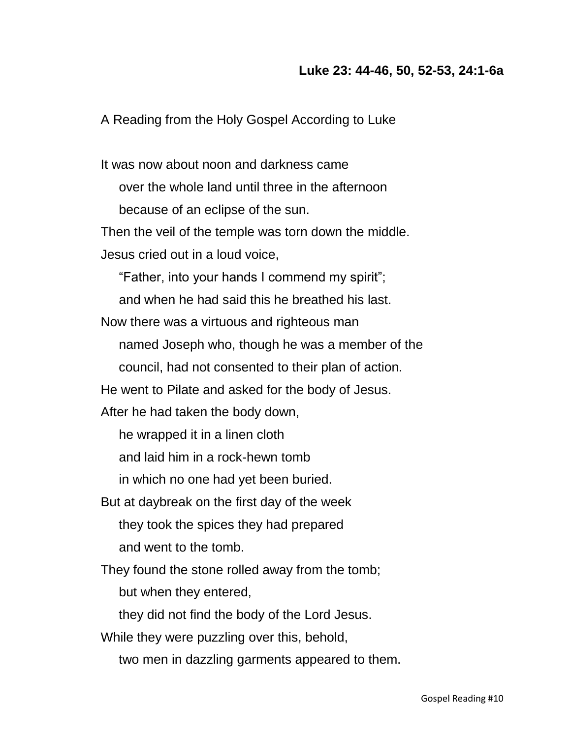## **Luke 23: 44-46, 50, 52-53, 24:1-6a**

A Reading from the Holy Gospel According to Luke

It was now about noon and darkness came over the whole land until three in the afternoon because of an eclipse of the sun. Then the veil of the temple was torn down the middle. Jesus cried out in a loud voice, "Father, into your hands I commend my spirit"; and when he had said this he breathed his last. Now there was a virtuous and righteous man named Joseph who, though he was a member of the council, had not consented to their plan of action. He went to Pilate and asked for the body of Jesus. After he had taken the body down, he wrapped it in a linen cloth and laid him in a rock-hewn tomb in which no one had yet been buried. But at daybreak on the first day of the week they took the spices they had prepared and went to the tomb. They found the stone rolled away from the tomb; but when they entered, they did not find the body of the Lord Jesus. While they were puzzling over this, behold, two men in dazzling garments appeared to them.